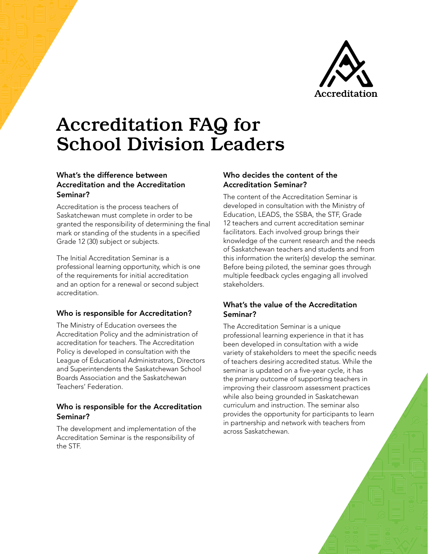

# Accreditation FAQ for School Division Leaders

# What's the difference between Accreditation and the Accreditation Seminar?

Accreditation is the process teachers of Saskatchewan must complete in order to be granted the responsibility of determining the final mark or standing of the students in a specified Grade 12 (30) subject or subjects.

The Initial Accreditation Seminar is a professional learning opportunity, which is one of the requirements for initial accreditation and an option for a renewal or second subject accreditation.

# Who is responsible for Accreditation?

The Ministry of Education oversees the Accreditation Policy and the administration of accreditation for teachers. The Accreditation Policy is developed in consultation with the League of Educational Administrators, Directors and Superintendents the Saskatchewan School Boards Association and the Saskatchewan Teachers' Federation.

### Who is responsible for the Accreditation Seminar?

The development and implementation of the Accreditation Seminar is the responsibility of the STF.

### Who decides the content of the Accreditation Seminar?

The content of the Accreditation Seminar is developed in consultation with the Ministry of Education, LEADS, the SSBA, the STF, Grade 12 teachers and current accreditation seminar facilitators. Each involved group brings their knowledge of the current research and the needs of Saskatchewan teachers and students and from this information the writer(s) develop the seminar. Before being piloted, the seminar goes through multiple feedback cycles engaging all involved stakeholders.

### What's the value of the Accreditation Seminar?

The Accreditation Seminar is a unique professional learning experience in that it has been developed in consultation with a wide variety of stakeholders to meet the specific needs of teachers desiring accredited status. While the seminar is updated on a five-year cycle, it has the primary outcome of supporting teachers in improving their classroom assessment practices while also being grounded in Saskatchewan curriculum and instruction. The seminar also provides the opportunity for participants to learn in partnership and network with teachers from across Saskatchewan.